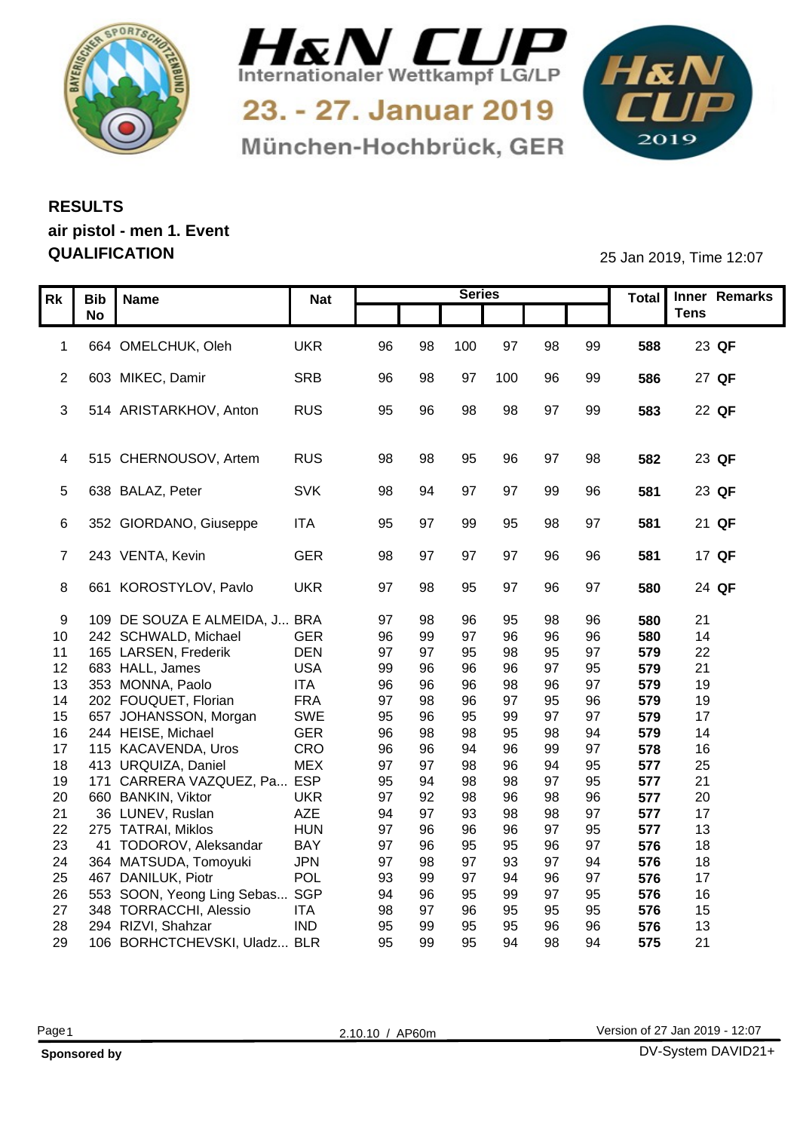



München-Hochbrück, GER

1&N 

## **RESULTS air pistol - men 1. Event QUALIFICATION** 25 Jan 2019, Time 12:07

|          |                                                |                     |          |           | <b>Series</b>  |          |                |          |            | Total Inner Remarks |
|----------|------------------------------------------------|---------------------|----------|-----------|----------------|----------|----------------|----------|------------|---------------------|
|          | Rk   Bib   Name<br><b>No</b>                   | <b>Nat</b>          |          |           |                |          |                |          |            | <b>Tens</b>         |
|          |                                                |                     |          |           |                |          |                |          |            |                     |
|          | 1 664 OMELCHUK, Oleh                           | <b>UKR</b>          | 96       | 98        | 100            | 97       | 98             | 99       | 588        | 23 QF               |
|          |                                                |                     |          |           |                |          |                |          |            |                     |
|          | 2 603 MIKEC, Damir                             | SRB                 | -96      | 98        | .97            | 100      | 96             | 99       | 586        | 27 QF               |
|          |                                                |                     |          |           |                |          |                |          |            |                     |
|          | 3 514 ARISTARKHOV, Anton                       | RUS                 | 95       | 96        | 98             | 98       | 97             | 99       | 583        | 22 QF               |
|          |                                                |                     |          |           |                |          |                |          |            |                     |
|          | 4 515 CHERNOUSOV, Artem                        | <b>RUS</b>          | -98      | 98        | 95             | 96       | -97            | 98       | 582        | 23 QF               |
|          |                                                |                     |          |           |                |          |                |          |            |                     |
|          | 5 638 BALAZ, Peter                             | <b>SVK</b>          |          |           |                |          |                | 96       | 581        | 23 QF               |
|          |                                                |                     |          |           |                |          |                |          |            |                     |
|          | 6 352 GIORDANO, Giuseppe                       | <b>ITA</b>          | -95      |           | 9 <sub>c</sub> | 95       | 98             | 97       | 581        | 21 QF               |
|          |                                                |                     |          |           |                |          |                |          |            |                     |
|          | 7 243 VENTA, Kevin                             | GER                 | .98      | -97       | -97            | 97       | 96             | 96       | 581        | 17 QF               |
|          |                                                |                     |          |           |                |          |                |          |            |                     |
|          | 8 661 KOROSTYLOV, Pavlo                        | <b>UKR</b>          | 97       | 98        | 95             | 97       | 96             | 97       | 580        | 24 QF               |
|          | 109 DE SOUZA E ALMEIDA, J BRA<br>9             |                     | 97       | 98        |                |          |                |          | 580        | 21                  |
|          | 10 242 SCHWALD, Michael                        | <b>GER</b>          | 96       | 99        |                | 96       |                | 96       | 580        | 14                  |
|          | 11 165 LARSEN, Frederik                        | <b>DEN</b>          | 97       | 97        | 95             | 98       | 95             | 97       | 579        | 22                  |
|          | 12 683 HALL, James                             | <b>USA</b>          | 99       | 96        |                | 96       |                | 95       | 579        | 21                  |
| 13       | 353 MONNA, Paolo                               | <b>ITA</b>          | 96       | 96        | 96             | 98       |                | 97       | 579        | 19                  |
| 14       | 202 FOUQUET, Florian                           | <b>FRA</b>          | 97       | 98        | 96             | 97       |                | 96       | 579        | 19                  |
|          | 15 657 JOHANSSON, Morgan                       | SWE                 | 95       | 96        | 95             | 99       | Q <sub>7</sub> | 97       | 579        | 17                  |
|          | 16 244 HEISE, Michael                          | GER                 | 96       | 98        | 98             | 95       | 98             | 94       | 579        | 14                  |
| 17       | 115 KACAVENDA, Uros                            | CRO                 | 96       | 96        |                | 96       | 99             | 97       | 578        | 16                  |
| 18       | 413 URQUIZA, Daniel                            | <b>MEX</b><br>. ESP | 97       | 97        | 98             | 96       |                | 95       | 577        | 25                  |
| 19<br>20 | 171 CARRERA VAZQUEZ, Pa.<br>660 BANKIN, Viktor | <b>UKR</b>          | 95<br>97 | 92        | 98<br>98       | 98<br>96 |                | 95<br>96 | 577<br>577 | 21<br>20            |
| 21       | 36 LUNEV, Ruslan                               | AZE                 | 94       | <b>Q7</b> | 93             | 98       | 98             | 97       | 577        | 17                  |
|          | 22 275 TATRAI, Miklos                          | <b>HUN</b>          | 97       | 96        |                | 96       |                | 95       | 577        | 13                  |
| 23       | 41 TODOROV, Aleksandar                         | <b>BAY</b>          | 97       | 96        | 95             | 95       | 96             | 97       | 576        | 18                  |
| 24       | 364 MATSUDA, Tomoyuki                          | <b>JPN</b>          | 97       | 98        | 97             | 93       | 97             | 94       | 576        | 18                  |
| 25       | 467 DANILUK, Piotr                             | POL                 | 93       | 99        | 97             | 94       | 96             | 97       | 576        | 17                  |
|          | 26 553 SOON, Yeong Ling Sebas SGP              |                     | 94       | 96        | 95             | 99       | 97             | 95       | 576        | 16                  |
| 27       | 348 TORRACCHI, Alessio                         | <b>ITA</b>          | 98       | - Q7      | 96             | 95       |                | 95       | 576        | 15                  |
| 28       | 294 RIZVI, Shahzar                             | <b>IND</b>          | 95       | 99        | 95             | 95       | 96             | 96       | 576        | 13                  |
|          | 29 106 BORHCTCHEVSKI, Uladz BLR                |                     | 95       | 99        | 95             | 94       | 98             | 94       | 575        | 21                  |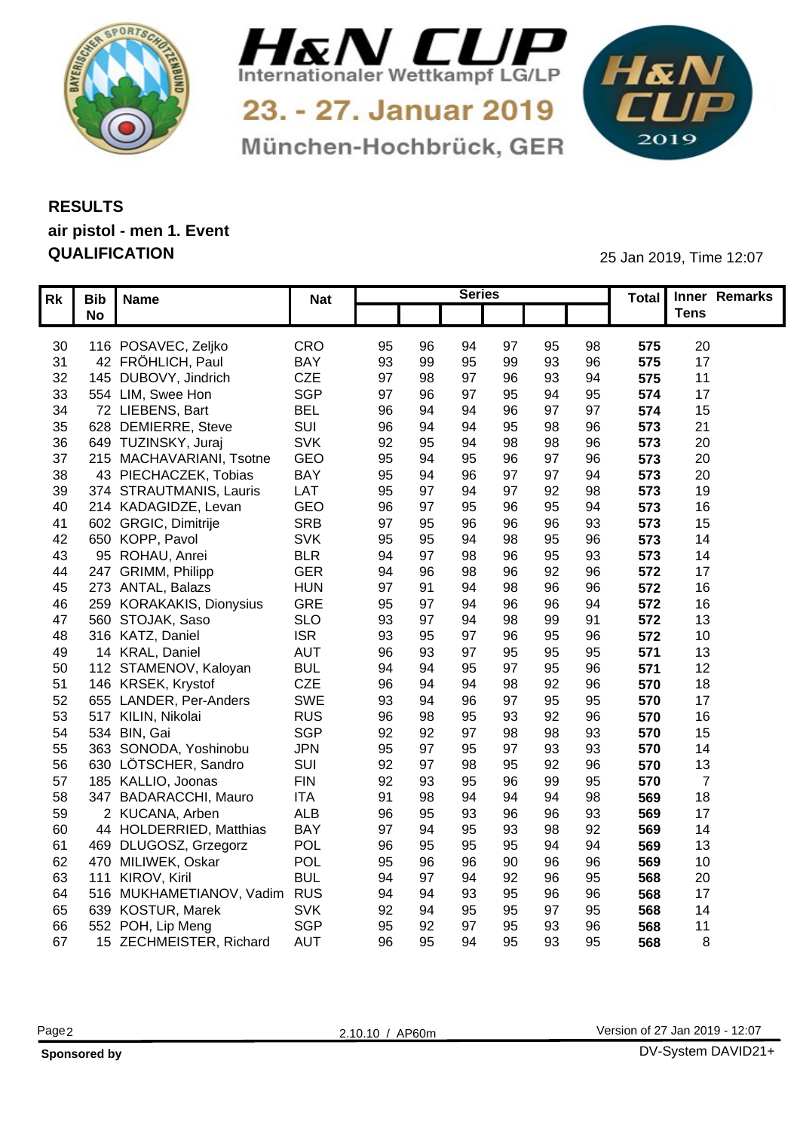



München-Hochbrück, GER

1&N 

## **RESULTS air pistol - men 1. Event QUALIFICATION** 25 Jan 2019, Time 12:07

| Rk   Bib   Name                    | <b>Nat</b> |                 | <b>Series</b> |    |    |                |     | Total Inner Remarks |
|------------------------------------|------------|-----------------|---------------|----|----|----------------|-----|---------------------|
| <b>No</b>                          |            |                 |               |    |    |                |     | <b>Tens</b>         |
|                                    |            |                 |               |    |    |                |     |                     |
| 30 116 POSAVEC, Zeljko             | CRO        | 96<br>95        | 94            | 97 | 95 | 98             | 575 | 20                  |
| 42 FRÖHLICH, Paul<br>31            | BAY        | 93<br>99        |               | 99 | 93 | 96             | 575 | 17                  |
| 145 DUBOVY, Jindrich<br>32         | CZE        | 97<br>98        | Q.            | 96 | 93 | 94             | 575 | 11                  |
| 554 LIM, Swee Hon<br>33            | SGP        | 97<br>96        | Q.            | 95 | 94 | 95             | 574 | 17                  |
| 72 LIEBENS, Bart<br>34             | <b>BEL</b> | 96              |               | 96 |    | Q <sub>7</sub> | 574 | 15                  |
| 628 DEMIERRE, Steve<br>35          | SUI        | 96              |               | 95 |    | 96             | 573 | 21                  |
| 649 TUZINSKY, Juraj<br>36          | <b>SVK</b> | 92              |               | 98 |    | 96             | 573 | 20                  |
| 215 MACHAVARIANI, Tsotne<br>37     | GEO        | 95              |               | 96 |    | 96             | 573 | 20                  |
| 43 PIECHACZEK, Tobias<br>38        | <b>BAY</b> | 95              |               | Q7 |    | 94             | 573 | 20                  |
| 374 STRAUTMANIS, Lauris<br>39      | LAT        | 95              |               |    |    | 98             | 573 | 19                  |
| 214 KADAGIDZE, Levan<br>40         | GEO        | 96              | 95            | 96 |    | 94             | 573 | 16                  |
| 602 GRGIC, Dimitrije<br>41         | <b>SRB</b> | 97<br>95        |               | 96 |    | 93             | 573 | 15                  |
| 650 KOPP, Pavol<br>42              | <b>SVK</b> | 95              |               | 98 | 95 | 96             | 573 | 14                  |
| 43<br>95 ROHAU, Anrei              | <b>BLR</b> | 94              |               |    |    | 93             | 573 | 14                  |
| 247 GRIMM, Philipp<br>44           | <b>GER</b> | 94              |               |    |    | 96             | 572 | 17                  |
| 273 ANTAL, Balazs<br>45            | <b>HUN</b> | 97              |               | 98 |    | 96             | 572 | 16                  |
| 259 KORAKAKIS, Dionysius<br>46     | GRE        | 95              |               |    |    | 94             | 572 | 16                  |
| 560 STOJAK, Saso<br>47             | <b>SLO</b> | 93              |               | 98 | qq | 91             | 572 | 13                  |
| 316 KATZ, Daniel<br>48             | <b>ISR</b> | 93              |               |    |    | 96             | 572 | 10                  |
| 49<br>14 KRAL, Daniel              | <b>AUT</b> | 96              |               | 95 |    | 95             | 571 | 13                  |
| 112 STAMENOV, Kaloyan<br>50        | <b>BUL</b> | 94              | 95            | 97 |    | 96             | 571 | 12                  |
| 146 KRSEK, Krystof<br>51           | CZE        | 96              |               |    | 92 | 96             | 570 | 18                  |
| 52<br>655 LANDER, Per-Anders       | <b>SWE</b> | 93              |               | 97 | 95 | 95             | 570 | 17                  |
| 53<br>517 KILIN, Nikolai           | <b>RUS</b> | 96              |               | ٩ŕ | 92 | 96             | 570 | 16                  |
| 534 BIN, Gai<br>54                 | SGP        | 92<br>92        | Q7            | 98 |    | 93             | 570 | 15                  |
| 363 SONODA, Yoshinobu<br>55        | <b>JPN</b> | 95<br><b>Q7</b> | 95            | 97 |    | 93             | 570 | 14                  |
| 630 LÖTSCHER, Sandro<br>56         | SUI        | 92              |               | 95 |    | 96             | 570 | 13                  |
| 57<br>185 KALLIO, Joonas           | <b>FIN</b> | 92              | 95            | 96 |    | 95             | 570 |                     |
| 347 BADARACCHI, Mauro<br>58        | <b>ITA</b> | 91              |               | 94 |    | 98             | 569 | 18                  |
| 2 KUCANA, Arben<br>59              | <b>ALB</b> | 96              |               | 96 |    | 93             | 569 | 17                  |
| 44 HOLDERRIED, Matthias<br>60      | <b>BAY</b> | 97              | 95            | 93 |    | 92             | 569 | 14                  |
| 469 DLUGOSZ, Grzegorz<br>61        | POL        | 96              | 95            | 95 |    | 94             | 569 | 13                  |
| 62 470 MILIWEK, Oskar              | POL        | 95              |               | 90 |    | 96             | 569 | 10                  |
| 111 KIROV, Kiril<br>63             | <b>BUL</b> | 94<br>07        |               | 92 |    | 95             | 568 | 20                  |
| 516 MUKHAMETIANOV, Vadim RUS<br>64 |            | 94              |               | 95 |    | 96             | 568 | 17                  |
| <b>KOSTUR, Marek</b><br>65<br>639  | <b>SVK</b> | 92              | 95            | 95 |    | 95             | 568 | 14                  |
| 552 POH, Lip Meng<br>66            | SGP        | 95<br>92        |               | 95 |    | 96             | 568 | 11                  |
| 15 ZECHMEISTER, Richard<br>67      | <b>AUT</b> | 96<br>95        | 94            | 95 | 93 | 95             | 568 |                     |